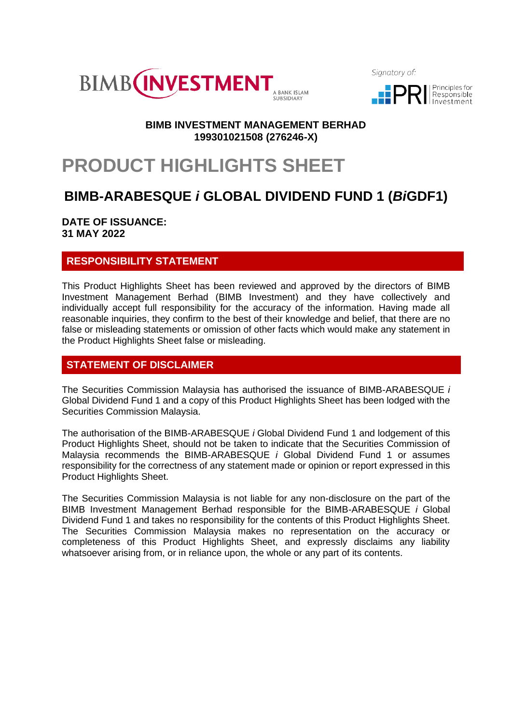

Sianatory of:



## **BIMB INVESTMENT MANAGEMENT BERHAD 199301021508 (276246-X)**

# **PRODUCT HIGHLIGHTS SHEET**

## **BIMB-ARABESQUE** *i* **GLOBAL DIVIDEND FUND 1 (***Bi***GDF1)**

**DATE OF ISSUANCE: 31 MAY 2022**

## **RESPONSIBILITY STATEMENT**

This Product Highlights Sheet has been reviewed and approved by the directors of BIMB Investment Management Berhad (BIMB Investment) and they have collectively and individually accept full responsibility for the accuracy of the information. Having made all reasonable inquiries, they confirm to the best of their knowledge and belief, that there are no false or misleading statements or omission of other facts which would make any statement in the Product Highlights Sheet false or misleading.

## **STATEMENT OF DISCLAIMER**

The Securities Commission Malaysia has authorised the issuance of BIMB-ARABESQUE *i* Global Dividend Fund 1 and a copy of this Product Highlights Sheet has been lodged with the Securities Commission Malaysia.

The authorisation of the BIMB-ARABESQUE *i* Global Dividend Fund 1 and lodgement of this Product Highlights Sheet, should not be taken to indicate that the Securities Commission of Malaysia recommends the BIMB-ARABESQUE *i* Global Dividend Fund 1 or assumes responsibility for the correctness of any statement made or opinion or report expressed in this Product Highlights Sheet.

The Securities Commission Malaysia is not liable for any non-disclosure on the part of the BIMB Investment Management Berhad responsible for the BIMB-ARABESQUE *i* Global Dividend Fund 1 and takes no responsibility for the contents of this Product Highlights Sheet. The Securities Commission Malaysia makes no representation on the accuracy or completeness of this Product Highlights Sheet, and expressly disclaims any liability whatsoever arising from, or in reliance upon, the whole or any part of its contents.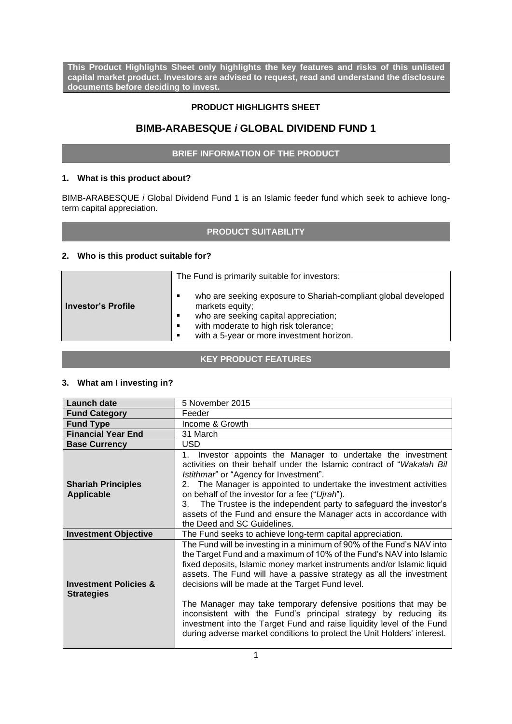**This Product Highlights Sheet only highlights the key features and risks of this unlisted capital market product. Investors are advised to request, read and understand the disclosure documents before deciding to invest.**

## **PRODUCT HIGHLIGHTS SHEET**

## **BIMB-ARABESQUE** *i* **GLOBAL DIVIDEND FUND 1**

#### **BRIEF INFORMATION OF THE PRODUCT**

#### **1. What is this product about?**

BIMB-ARABESQUE *i* Global Dividend Fund 1 is an Islamic feeder fund which seek to achieve longterm capital appreciation.

## **PRODUCT SUITABILITY**

#### **2. Who is this product suitable for?**

|                           | The Fund is primarily suitable for investors:                                                                                                                                                                                        |  |  |  |  |
|---------------------------|--------------------------------------------------------------------------------------------------------------------------------------------------------------------------------------------------------------------------------------|--|--|--|--|
| <b>Investor's Profile</b> | who are seeking exposure to Shariah-compliant global developed<br>٠<br>markets equity;<br>who are seeking capital appreciation;<br>٠<br>with moderate to high risk tolerance;<br>٠<br>with a 5-year or more investment horizon.<br>٠ |  |  |  |  |

## **KEY PRODUCT FEATURES**

#### **3. What am I investing in?**

| <b>Launch date</b>                                    | 5 November 2015                                                                                                                                                                                                                                                                                                                                                                                                                                                                                                                                                                                                                            |  |  |  |  |
|-------------------------------------------------------|--------------------------------------------------------------------------------------------------------------------------------------------------------------------------------------------------------------------------------------------------------------------------------------------------------------------------------------------------------------------------------------------------------------------------------------------------------------------------------------------------------------------------------------------------------------------------------------------------------------------------------------------|--|--|--|--|
| <b>Fund Category</b>                                  | Feeder                                                                                                                                                                                                                                                                                                                                                                                                                                                                                                                                                                                                                                     |  |  |  |  |
| <b>Fund Type</b>                                      | Income & Growth                                                                                                                                                                                                                                                                                                                                                                                                                                                                                                                                                                                                                            |  |  |  |  |
| <b>Financial Year End</b>                             | 31 March                                                                                                                                                                                                                                                                                                                                                                                                                                                                                                                                                                                                                                   |  |  |  |  |
| <b>Base Currency</b>                                  | <b>USD</b>                                                                                                                                                                                                                                                                                                                                                                                                                                                                                                                                                                                                                                 |  |  |  |  |
| <b>Shariah Principles</b><br><b>Applicable</b>        | Investor appoints the Manager to undertake the investment<br>$1_{-}$<br>activities on their behalf under the Islamic contract of "Wakalah Bil<br>Istithmar" or "Agency for Investment".<br>The Manager is appointed to undertake the investment activities<br>2.<br>on behalf of the investor for a fee ("Ujrah").<br>The Trustee is the independent party to safeguard the investor's<br>3.<br>assets of the Fund and ensure the Manager acts in accordance with<br>the Deed and SC Guidelines.                                                                                                                                           |  |  |  |  |
| <b>Investment Objective</b>                           | The Fund seeks to achieve long-term capital appreciation.                                                                                                                                                                                                                                                                                                                                                                                                                                                                                                                                                                                  |  |  |  |  |
| <b>Investment Policies &amp;</b><br><b>Strategies</b> | The Fund will be investing in a minimum of 90% of the Fund's NAV into<br>the Target Fund and a maximum of 10% of the Fund's NAV into Islamic<br>fixed deposits, Islamic money market instruments and/or Islamic liquid<br>assets. The Fund will have a passive strategy as all the investment<br>decisions will be made at the Target Fund level.<br>The Manager may take temporary defensive positions that may be<br>inconsistent with the Fund's principal strategy by reducing its<br>investment into the Target Fund and raise liquidity level of the Fund<br>during adverse market conditions to protect the Unit Holders' interest. |  |  |  |  |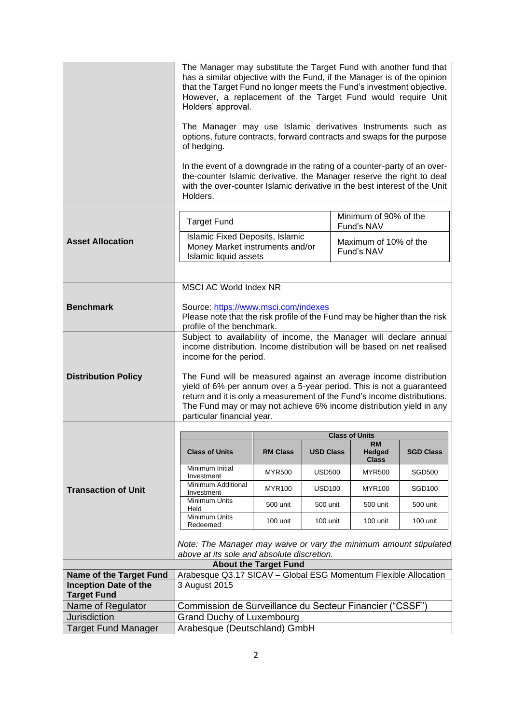|                                         | The Manager may substitute the Target Fund with another fund that<br>has a similar objective with the Fund, if the Manager is of the opinion<br>that the Target Fund no longer meets the Fund's investment objective.<br>However, a replacement of the Target Fund would require Unit<br>Holders' approval.<br>The Manager may use Islamic derivatives Instruments such as |                              |                  |  |                                     |                  |
|-----------------------------------------|----------------------------------------------------------------------------------------------------------------------------------------------------------------------------------------------------------------------------------------------------------------------------------------------------------------------------------------------------------------------------|------------------------------|------------------|--|-------------------------------------|------------------|
|                                         | options, future contracts, forward contracts and swaps for the purpose<br>of hedging.                                                                                                                                                                                                                                                                                      |                              |                  |  |                                     |                  |
|                                         | In the event of a downgrade in the rating of a counter-party of an over-<br>the-counter Islamic derivative, the Manager reserve the right to deal<br>with the over-counter Islamic derivative in the best interest of the Unit<br>Holders.                                                                                                                                 |                              |                  |  |                                     |                  |
|                                         | <b>Target Fund</b>                                                                                                                                                                                                                                                                                                                                                         |                              |                  |  | Minimum of 90% of the<br>Fund's NAV |                  |
| <b>Asset Allocation</b>                 | Islamic Fixed Deposits, Islamic<br>Money Market instruments and/or<br>Islamic liquid assets                                                                                                                                                                                                                                                                                |                              |                  |  | Maximum of 10% of the<br>Fund's NAV |                  |
|                                         |                                                                                                                                                                                                                                                                                                                                                                            |                              |                  |  |                                     |                  |
|                                         | MSCI AC World Index NR                                                                                                                                                                                                                                                                                                                                                     |                              |                  |  |                                     |                  |
|                                         |                                                                                                                                                                                                                                                                                                                                                                            |                              |                  |  |                                     |                  |
| <b>Benchmark</b>                        | Source: https://www.msci.com/indexes                                                                                                                                                                                                                                                                                                                                       |                              |                  |  |                                     |                  |
|                                         | Please note that the risk profile of the Fund may be higher than the risk<br>profile of the benchmark.                                                                                                                                                                                                                                                                     |                              |                  |  |                                     |                  |
|                                         | Subject to availability of income, the Manager will declare annual                                                                                                                                                                                                                                                                                                         |                              |                  |  |                                     |                  |
|                                         | income distribution. Income distribution will be based on net realised                                                                                                                                                                                                                                                                                                     |                              |                  |  |                                     |                  |
|                                         | income for the period.                                                                                                                                                                                                                                                                                                                                                     |                              |                  |  |                                     |                  |
| <b>Distribution Policy</b>              | The Fund will be measured against an average income distribution                                                                                                                                                                                                                                                                                                           |                              |                  |  |                                     |                  |
|                                         | yield of 6% per annum over a 5-year period. This is not a guaranteed                                                                                                                                                                                                                                                                                                       |                              |                  |  |                                     |                  |
|                                         | return and it is only a measurement of the Fund's income distributions.<br>The Fund may or may not achieve 6% income distribution yield in any                                                                                                                                                                                                                             |                              |                  |  |                                     |                  |
|                                         | particular financial year.                                                                                                                                                                                                                                                                                                                                                 |                              |                  |  |                                     |                  |
|                                         |                                                                                                                                                                                                                                                                                                                                                                            |                              |                  |  |                                     |                  |
|                                         |                                                                                                                                                                                                                                                                                                                                                                            |                              |                  |  | <b>Class of Units</b><br>RM         |                  |
|                                         | <b>Class of Units</b>                                                                                                                                                                                                                                                                                                                                                      | <b>RM Class</b>              | <b>USD Class</b> |  | <b>Hedged</b><br><b>Class</b>       | <b>SGD Class</b> |
|                                         | Minimum Initial<br>Investment                                                                                                                                                                                                                                                                                                                                              | <b>MYR500</b>                | <b>USD500</b>    |  | <b>MYR500</b>                       | <b>SGD500</b>    |
| <b>Transaction of Unit</b>              | Minimum Additional<br>Investment                                                                                                                                                                                                                                                                                                                                           | <b>MYR100</b>                | <b>USD100</b>    |  | <b>MYR100</b>                       | <b>SGD100</b>    |
|                                         | Minimum Units<br>Held                                                                                                                                                                                                                                                                                                                                                      | 500 unit                     | 500 unit         |  | 500 unit                            | 500 unit         |
|                                         | <b>Minimum Units</b><br>Redeemed                                                                                                                                                                                                                                                                                                                                           | 100 unit                     | 100 unit         |  | 100 unit                            | 100 unit         |
|                                         | Note: The Manager may waive or vary the minimum amount stipulated<br>above at its sole and absolute discretion.                                                                                                                                                                                                                                                            |                              |                  |  |                                     |                  |
|                                         |                                                                                                                                                                                                                                                                                                                                                                            | <b>About the Target Fund</b> |                  |  |                                     |                  |
| <b>Name of the Target Fund</b>          | Arabesque Q3.17 SICAV - Global ESG Momentum Flexible Allocation                                                                                                                                                                                                                                                                                                            |                              |                  |  |                                     |                  |
| <b>Inception Date of the</b>            | 3 August 2015                                                                                                                                                                                                                                                                                                                                                              |                              |                  |  |                                     |                  |
| <b>Target Fund</b><br>Name of Regulator |                                                                                                                                                                                                                                                                                                                                                                            |                              |                  |  |                                     |                  |
| <b>Jurisdiction</b>                     | Commission de Surveillance du Secteur Financier ("CSSF")                                                                                                                                                                                                                                                                                                                   |                              |                  |  |                                     |                  |
| <b>Target Fund Manager</b>              | <b>Grand Duchy of Luxembourg</b>                                                                                                                                                                                                                                                                                                                                           |                              |                  |  |                                     |                  |
|                                         | Arabesque (Deutschland) GmbH                                                                                                                                                                                                                                                                                                                                               |                              |                  |  |                                     |                  |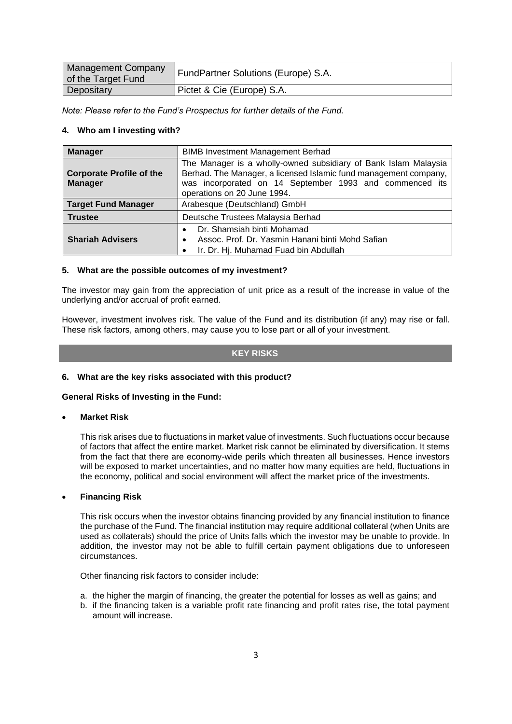| Management Company<br>of the Target Fund | FundPartner Solutions (Europe) S.A. |
|------------------------------------------|-------------------------------------|
| Depositary                               | Pictet & Cie (Europe) S.A.          |

*Note: Please refer to the Fund's Prospectus for further details of the Fund.*

#### **4. Who am I investing with?**

| <b>Manager</b>                                    | <b>BIMB Investment Management Berhad</b>                                                                                                                                                                                      |  |  |  |  |
|---------------------------------------------------|-------------------------------------------------------------------------------------------------------------------------------------------------------------------------------------------------------------------------------|--|--|--|--|
| <b>Corporate Profile of the</b><br><b>Manager</b> | The Manager is a wholly-owned subsidiary of Bank Islam Malaysia<br>Berhad. The Manager, a licensed Islamic fund management company,<br>was incorporated on 14 September 1993 and commenced its<br>operations on 20 June 1994. |  |  |  |  |
| <b>Target Fund Manager</b>                        | Arabesque (Deutschland) GmbH                                                                                                                                                                                                  |  |  |  |  |
| <b>Trustee</b>                                    | Deutsche Trustees Malaysia Berhad                                                                                                                                                                                             |  |  |  |  |
| <b>Shariah Advisers</b>                           | Dr. Shamsiah binti Mohamad<br>Assoc. Prof. Dr. Yasmin Hanani binti Mohd Safian<br>$\bullet$<br>Ir. Dr. Hj. Muhamad Fuad bin Abdullah<br>٠                                                                                     |  |  |  |  |

#### **5. What are the possible outcomes of my investment?**

The investor may gain from the appreciation of unit price as a result of the increase in value of the underlying and/or accrual of profit earned.

However, investment involves risk. The value of the Fund and its distribution (if any) may rise or fall. These risk factors, among others, may cause you to lose part or all of your investment.

#### **KEY RISKS**

#### **6. What are the key risks associated with this product?**

#### **General Risks of Investing in the Fund:**

#### • **Market Risk**

This risk arises due to fluctuations in market value of investments. Such fluctuations occur because of factors that affect the entire market. Market risk cannot be eliminated by diversification. It stems from the fact that there are economy-wide perils which threaten all businesses. Hence investors will be exposed to market uncertainties, and no matter how many equities are held, fluctuations in the economy, political and social environment will affect the market price of the investments.

#### • **Financing Risk**

This risk occurs when the investor obtains financing provided by any financial institution to finance the purchase of the Fund. The financial institution may require additional collateral (when Units are used as collaterals) should the price of Units falls which the investor may be unable to provide. In addition, the investor may not be able to fulfill certain payment obligations due to unforeseen circumstances.

Other financing risk factors to consider include:

- a. the higher the margin of financing, the greater the potential for losses as well as gains; and
- b. if the financing taken is a variable profit rate financing and profit rates rise, the total payment amount will increase.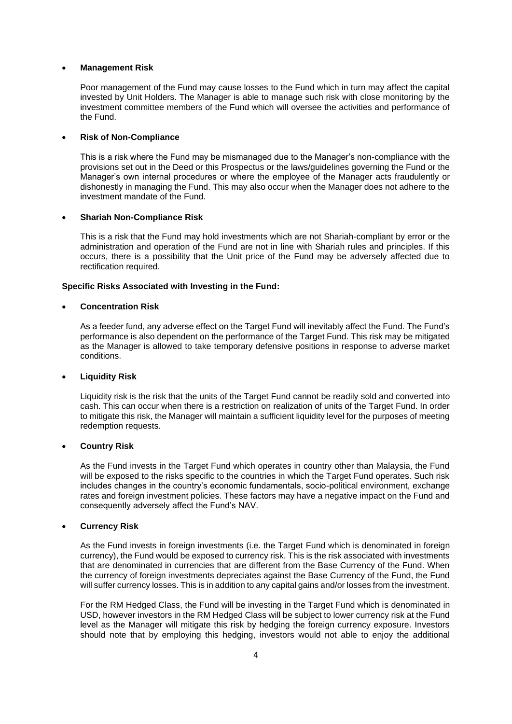#### • **Management Risk**

Poor management of the Fund may cause losses to the Fund which in turn may affect the capital invested by Unit Holders. The Manager is able to manage such risk with close monitoring by the investment committee members of the Fund which will oversee the activities and performance of the Fund.

#### • **Risk of Non-Compliance**

This is a risk where the Fund may be mismanaged due to the Manager's non-compliance with the provisions set out in the Deed or this Prospectus or the laws/guidelines governing the Fund or the Manager's own internal procedures or where the employee of the Manager acts fraudulently or dishonestly in managing the Fund. This may also occur when the Manager does not adhere to the investment mandate of the Fund.

#### • **Shariah Non-Compliance Risk**

This is a risk that the Fund may hold investments which are not Shariah-compliant by error or the administration and operation of the Fund are not in line with Shariah rules and principles. If this occurs, there is a possibility that the Unit price of the Fund may be adversely affected due to rectification required.

#### **Specific Risks Associated with Investing in the Fund:**

#### • **Concentration Risk**

As a feeder fund, any adverse effect on the Target Fund will inevitably affect the Fund. The Fund's performance is also dependent on the performance of the Target Fund. This risk may be mitigated as the Manager is allowed to take temporary defensive positions in response to adverse market conditions.

#### • **Liquidity Risk**

Liquidity risk is the risk that the units of the Target Fund cannot be readily sold and converted into cash. This can occur when there is a restriction on realization of units of the Target Fund. In order to mitigate this risk, the Manager will maintain a sufficient liquidity level for the purposes of meeting redemption requests.

#### • **Country Risk**

As the Fund invests in the Target Fund which operates in country other than Malaysia, the Fund will be exposed to the risks specific to the countries in which the Target Fund operates. Such risk includes changes in the country's economic fundamentals, socio-political environment, exchange rates and foreign investment policies. These factors may have a negative impact on the Fund and consequently adversely affect the Fund's NAV.

#### • **Currency Risk**

As the Fund invests in foreign investments (i.e. the Target Fund which is denominated in foreign currency), the Fund would be exposed to currency risk. This is the risk associated with investments that are denominated in currencies that are different from the Base Currency of the Fund. When the currency of foreign investments depreciates against the Base Currency of the Fund, the Fund will suffer currency losses. This is in addition to any capital gains and/or losses from the investment.

For the RM Hedged Class, the Fund will be investing in the Target Fund which is denominated in USD, however investors in the RM Hedged Class will be subject to lower currency risk at the Fund level as the Manager will mitigate this risk by hedging the foreign currency exposure. Investors should note that by employing this hedging, investors would not able to enjoy the additional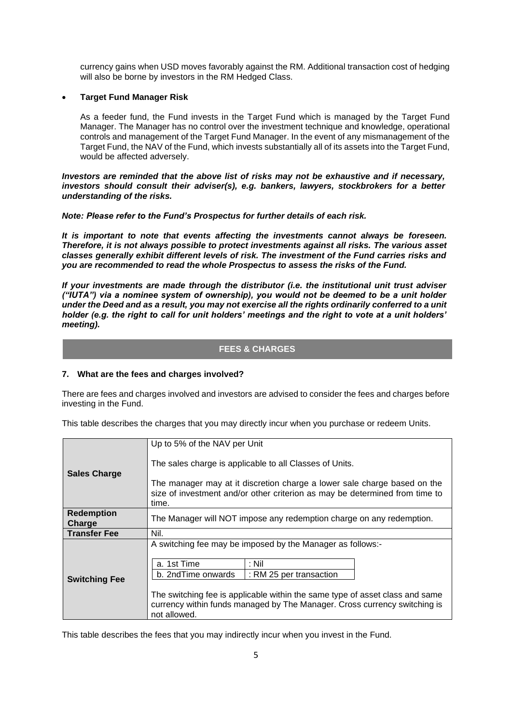currency gains when USD moves favorably against the RM. Additional transaction cost of hedging will also be borne by investors in the RM Hedged Class.

#### • **Target Fund Manager Risk**

As a feeder fund, the Fund invests in the Target Fund which is managed by the Target Fund Manager. The Manager has no control over the investment technique and knowledge, operational controls and management of the Target Fund Manager. In the event of any mismanagement of the Target Fund, the NAV of the Fund, which invests substantially all of its assets into the Target Fund, would be affected adversely.

*Investors are reminded that the above list of risks may not be exhaustive and if necessary, investors should consult their adviser(s), e.g. bankers, lawyers, stockbrokers for a better understanding of the risks.*

*Note: Please refer to the Fund's Prospectus for further details of each risk.*

*It is important to note that events affecting the investments cannot always be foreseen. Therefore, it is not always possible to protect investments against all risks. The various asset classes generally exhibit different levels of risk. The investment of the Fund carries risks and you are recommended to read the whole Prospectus to assess the risks of the Fund.*

*If your investments are made through the distributor (i.e. the institutional unit trust adviser ("IUTA") via a nominee system of ownership), you would not be deemed to be a unit holder under the Deed and as a result, you may not exercise all the rights ordinarily conferred to a unit holder (e.g. the right to call for unit holders' meetings and the right to vote at a unit holders' meeting).*

#### **FEES & CHARGES**

#### **7. What are the fees and charges involved?**

There are fees and charges involved and investors are advised to consider the fees and charges before investing in the Fund.

This table describes the charges that you may directly incur when you purchase or redeem Units.

|                      | Up to 5% of the NAV per Unit                                                 |  |  |  |  |  |
|----------------------|------------------------------------------------------------------------------|--|--|--|--|--|
|                      |                                                                              |  |  |  |  |  |
|                      | The sales charge is applicable to all Classes of Units.                      |  |  |  |  |  |
| <b>Sales Charge</b>  |                                                                              |  |  |  |  |  |
|                      | The manager may at it discretion charge a lower sale charge based on the     |  |  |  |  |  |
|                      | size of investment and/or other criterion as may be determined from time to  |  |  |  |  |  |
|                      | time.                                                                        |  |  |  |  |  |
|                      |                                                                              |  |  |  |  |  |
| <b>Redemption</b>    | The Manager will NOT impose any redemption charge on any redemption.         |  |  |  |  |  |
| Charge               |                                                                              |  |  |  |  |  |
| <b>Transfer Fee</b>  | Nil.                                                                         |  |  |  |  |  |
|                      | A switching fee may be imposed by the Manager as follows:-                   |  |  |  |  |  |
|                      |                                                                              |  |  |  |  |  |
|                      | a. 1st Time<br>: Nil                                                         |  |  |  |  |  |
|                      | b. 2ndTime onwards<br>: RM 25 per transaction                                |  |  |  |  |  |
| <b>Switching Fee</b> |                                                                              |  |  |  |  |  |
|                      |                                                                              |  |  |  |  |  |
|                      | The switching fee is applicable within the same type of asset class and same |  |  |  |  |  |
|                      | currency within funds managed by The Manager. Cross currency switching is    |  |  |  |  |  |
|                      | not allowed.                                                                 |  |  |  |  |  |

This table describes the fees that you may indirectly incur when you invest in the Fund.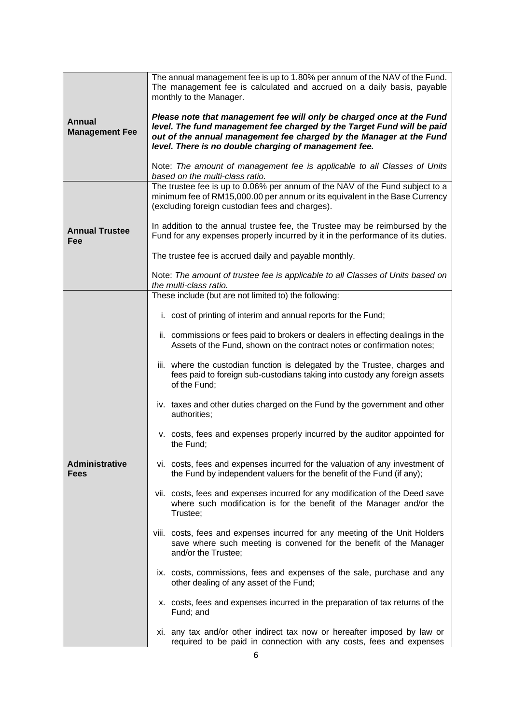|                                        | The annual management fee is up to 1.80% per annum of the NAV of the Fund.<br>The management fee is calculated and accrued on a daily basis, payable<br>monthly to the Manager.                                                                                                 |  |  |  |  |  |
|----------------------------------------|---------------------------------------------------------------------------------------------------------------------------------------------------------------------------------------------------------------------------------------------------------------------------------|--|--|--|--|--|
| <b>Annual</b><br><b>Management Fee</b> | Please note that management fee will only be charged once at the Fund<br>level. The fund management fee charged by the Target Fund will be paid<br>out of the annual management fee charged by the Manager at the Fund<br>level. There is no double charging of management fee. |  |  |  |  |  |
|                                        | Note: The amount of management fee is applicable to all Classes of Units<br>based on the multi-class ratio.                                                                                                                                                                     |  |  |  |  |  |
|                                        | The trustee fee is up to 0.06% per annum of the NAV of the Fund subject to a<br>minimum fee of RM15,000.00 per annum or its equivalent in the Base Currency<br>(excluding foreign custodian fees and charges).                                                                  |  |  |  |  |  |
| <b>Annual Trustee</b><br>Fee           | In addition to the annual trustee fee, the Trustee may be reimbursed by the<br>Fund for any expenses properly incurred by it in the performance of its duties.                                                                                                                  |  |  |  |  |  |
|                                        | The trustee fee is accrued daily and payable monthly.                                                                                                                                                                                                                           |  |  |  |  |  |
|                                        | Note: The amount of trustee fee is applicable to all Classes of Units based on<br>the multi-class ratio.                                                                                                                                                                        |  |  |  |  |  |
|                                        | These include (but are not limited to) the following:                                                                                                                                                                                                                           |  |  |  |  |  |
|                                        | i. cost of printing of interim and annual reports for the Fund;                                                                                                                                                                                                                 |  |  |  |  |  |
|                                        | ii. commissions or fees paid to brokers or dealers in effecting dealings in the<br>Assets of the Fund, shown on the contract notes or confirmation notes;                                                                                                                       |  |  |  |  |  |
|                                        | iii. where the custodian function is delegated by the Trustee, charges and<br>fees paid to foreign sub-custodians taking into custody any foreign assets<br>of the Fund;                                                                                                        |  |  |  |  |  |
|                                        | iv. taxes and other duties charged on the Fund by the government and other<br>authorities;                                                                                                                                                                                      |  |  |  |  |  |
|                                        | v. costs, fees and expenses properly incurred by the auditor appointed for<br>the Fund;                                                                                                                                                                                         |  |  |  |  |  |
| <b>Administrative</b><br>Fees          | vi. costs, fees and expenses incurred for the valuation of any investment of<br>the Fund by independent valuers for the benefit of the Fund (if any);                                                                                                                           |  |  |  |  |  |
|                                        | vii. costs, fees and expenses incurred for any modification of the Deed save<br>where such modification is for the benefit of the Manager and/or the<br>Trustee;                                                                                                                |  |  |  |  |  |
|                                        | viii. costs, fees and expenses incurred for any meeting of the Unit Holders<br>save where such meeting is convened for the benefit of the Manager<br>and/or the Trustee;                                                                                                        |  |  |  |  |  |
|                                        | ix. costs, commissions, fees and expenses of the sale, purchase and any<br>other dealing of any asset of the Fund;                                                                                                                                                              |  |  |  |  |  |
|                                        | x. costs, fees and expenses incurred in the preparation of tax returns of the<br>Fund; and                                                                                                                                                                                      |  |  |  |  |  |
|                                        | xi. any tax and/or other indirect tax now or hereafter imposed by law or<br>required to be paid in connection with any costs, fees and expenses                                                                                                                                 |  |  |  |  |  |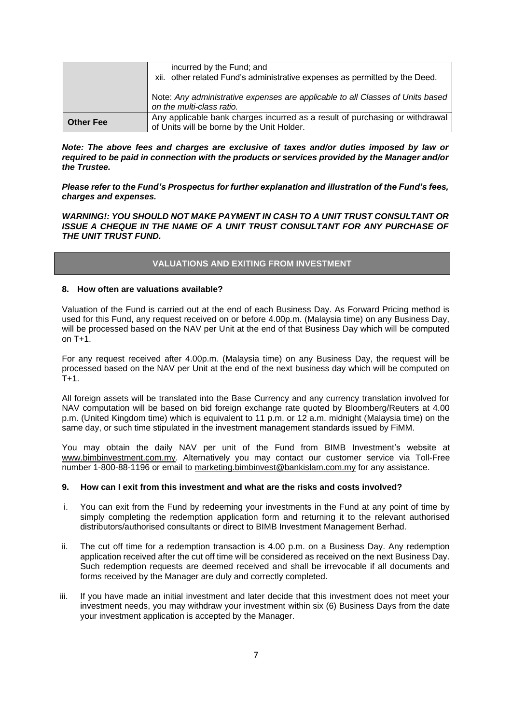|                  | incurred by the Fund; and                                                                                                  |
|------------------|----------------------------------------------------------------------------------------------------------------------------|
|                  | xii. other related Fund's administrative expenses as permitted by the Deed.                                                |
|                  | Note: Any administrative expenses are applicable to all Classes of Units based<br>on the multi-class ratio.                |
| <b>Other Fee</b> | Any applicable bank charges incurred as a result of purchasing or withdrawal<br>of Units will be borne by the Unit Holder. |

*Note: The above fees and charges are exclusive of taxes and/or duties imposed by law or required to be paid in connection with the products or services provided by the Manager and/or the Trustee.*

*Please refer to the Fund's Prospectus for further explanation and illustration of the Fund's fees, charges and expenses.*

*WARNING!: YOU SHOULD NOT MAKE PAYMENT IN CASH TO A UNIT TRUST CONSULTANT OR ISSUE A CHEQUE IN THE NAME OF A UNIT TRUST CONSULTANT FOR ANY PURCHASE OF THE UNIT TRUST FUND.*

### **VALUATIONS AND EXITING FROM INVESTMENT**

#### **8. How often are valuations available?**

Valuation of the Fund is carried out at the end of each Business Day. As Forward Pricing method is used for this Fund, any request received on or before 4.00p.m. (Malaysia time) on any Business Day, will be processed based on the NAV per Unit at the end of that Business Day which will be computed on T+1.

For any request received after 4.00p.m. (Malaysia time) on any Business Day, the request will be processed based on the NAV per Unit at the end of the next business day which will be computed on  $T+1$ .

All foreign assets will be translated into the Base Currency and any currency translation involved for NAV computation will be based on bid foreign exchange rate quoted by Bloomberg/Reuters at 4.00 p.m. (United Kingdom time) which is equivalent to 11 p.m. or 12 a.m. midnight (Malaysia time) on the same day, or such time stipulated in the investment management standards issued by FiMM.

You may obtain the daily NAV per unit of the Fund from BIMB Investment's website at [www.bimbinvestment.com.my.](http://www.bimbinvestment.com.my/) Alternatively you may contact our customer service via Toll-Free number 1-800-88-1196 or email to [marketing.bimbinvest@bankislam.com.my](mailto:marketing.bimbinvest@bankislam.com.my) for any assistance.

#### **9. How can I exit from this investment and what are the risks and costs involved?**

- i. You can exit from the Fund by redeeming your investments in the Fund at any point of time by simply completing the redemption application form and returning it to the relevant authorised distributors/authorised consultants or direct to BIMB Investment Management Berhad.
- ii. The cut off time for a redemption transaction is 4.00 p.m. on a Business Day. Any redemption application received after the cut off time will be considered as received on the next Business Day. Such redemption requests are deemed received and shall be irrevocable if all documents and forms received by the Manager are duly and correctly completed.
- iii. If you have made an initial investment and later decide that this investment does not meet your investment needs, you may withdraw your investment within six (6) Business Days from the date your investment application is accepted by the Manager.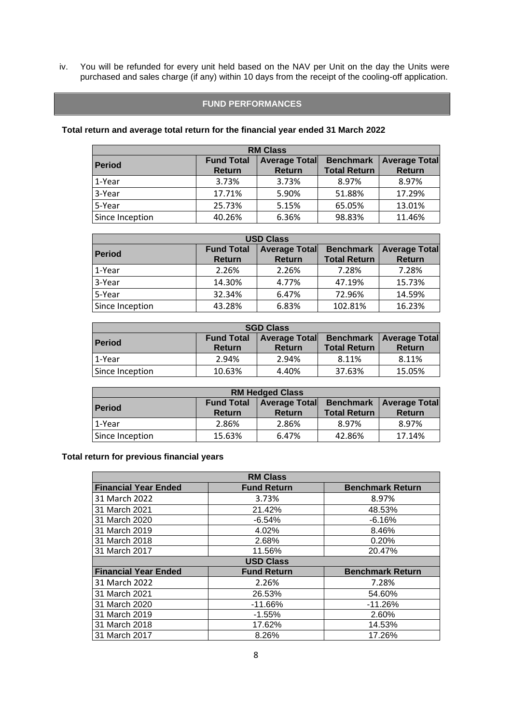iv. You will be refunded for every unit held based on the NAV per Unit on the day the Units were purchased and sales charge (if any) within 10 days from the receipt of the cooling-off application.

#### **FUND PERFORMANCES**

## **Total return and average total return for the financial year ended 31 March 2022**

| <b>RM Class</b> |                   |                      |                     |                      |  |  |  |
|-----------------|-------------------|----------------------|---------------------|----------------------|--|--|--|
| <b>Period</b>   | <b>Fund Total</b> | <b>Average Total</b> | <b>Benchmark</b>    | <b>Average Total</b> |  |  |  |
|                 | <b>Return</b>     | <b>Return</b>        | <b>Total Return</b> | <b>Return</b>        |  |  |  |
| 1-Year          | 3.73%             | 3.73%                | 8.97%               | 8.97%                |  |  |  |
| 3-Year          | 17.71%            | 5.90%                | 51.88%              | 17.29%               |  |  |  |
| 5-Year          | 25.73%            | 5.15%                | 65.05%              | 13.01%               |  |  |  |
| Since Inception | 40.26%            | 6.36%                | 98.83%              | 11.46%               |  |  |  |

| <b>USD Class</b> |                                    |                                       |                                         |                                       |  |  |  |
|------------------|------------------------------------|---------------------------------------|-----------------------------------------|---------------------------------------|--|--|--|
| <b>Period</b>    | <b>Fund Total</b><br><b>Return</b> | <b>Average Total</b><br><b>Return</b> | <b>Benchmark</b><br><b>Total Return</b> | <b>Average Total</b><br><b>Return</b> |  |  |  |
| 1-Year           | 2.26%                              | 2.26%                                 | 7.28%                                   | 7.28%                                 |  |  |  |
| 3-Year           | 14.30%                             | 4.77%                                 | 47.19%                                  | 15.73%                                |  |  |  |
| 5-Year           | 32.34%                             | 6.47%                                 | 72.96%                                  | 14.59%                                |  |  |  |
| Since Inception  | 43.28%                             | 6.83%                                 | 102.81%                                 | 16.23%                                |  |  |  |

| <b>SGD Class</b> |                                    |                                       |                     |                                                   |  |  |
|------------------|------------------------------------|---------------------------------------|---------------------|---------------------------------------------------|--|--|
| <b>Period</b>    | <b>Fund Total</b><br><b>Return</b> | <b>Average Total</b><br><b>Return</b> | <b>Total Return</b> | <b>Benchmark   Average Total</b><br><b>Return</b> |  |  |
| 1-Year           | 2.94%                              | 2.94%                                 | 8.11%               | 8.11%                                             |  |  |
| Since Inception  | 10.63%                             | 4.40%                                 | 37.63%              | 15.05%                                            |  |  |

| <b>RM Hedged Class</b>                                                                         |               |               |                     |               |  |  |
|------------------------------------------------------------------------------------------------|---------------|---------------|---------------------|---------------|--|--|
| <b>Fund Total</b><br><b>Benchmark   Average Total</b><br><b>Average Total</b><br><b>Period</b> |               |               |                     |               |  |  |
|                                                                                                | <b>Return</b> | <b>Return</b> | <b>Total Return</b> | <b>Return</b> |  |  |
| 1-Year                                                                                         | 2.86%         | 2.86%         | 8.97%               | 8.97%         |  |  |
| Since Inception                                                                                | 15.63%        | 6.47%         | 42.86%              | 17.14%        |  |  |

## **Total return for previous financial years**

| <b>RM Class</b>             |                    |                         |
|-----------------------------|--------------------|-------------------------|
| <b>Financial Year Ended</b> | <b>Fund Return</b> | <b>Benchmark Return</b> |
| 31 March 2022               | 3.73%              | 8.97%                   |
| 31 March 2021               | 21.42%             | 48.53%                  |
| 31 March 2020               | $-6.54%$           | $-6.16%$                |
| 31 March 2019               | 4.02%              | 8.46%                   |
| 31 March 2018               | 2.68%              | 0.20%                   |
| 31 March 2017               | 11.56%             | 20.47%                  |
| <b>USD Class</b>            |                    |                         |
| <b>Financial Year Ended</b> | <b>Fund Return</b> | <b>Benchmark Return</b> |
| 31 March 2022               | 2.26%              | 7.28%                   |
| 31 March 2021               | 26.53%             | 54.60%                  |
| 31 March 2020               | $-11.66%$          | $-11.26%$               |
| 31 March 2019               | $-1.55%$           | 2.60%                   |
| 31 March 2018               | 17.62%             | 14.53%                  |
| 31 March 2017               | 8.26%              | 17.26%                  |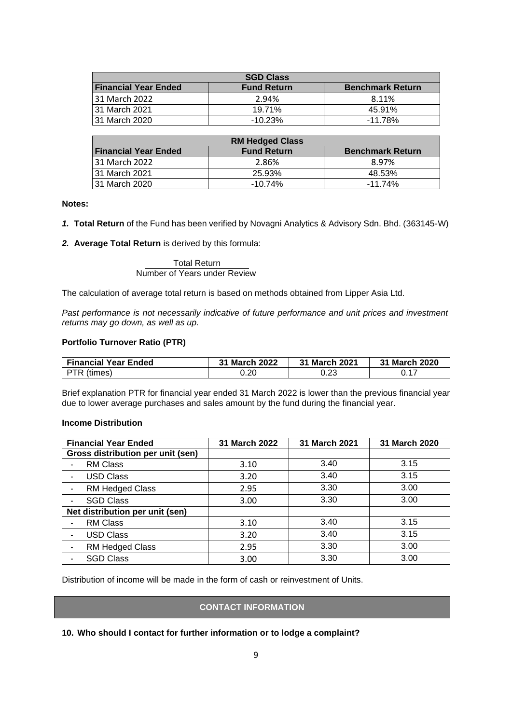| <b>SGD Class</b>            |                    |                         |
|-----------------------------|--------------------|-------------------------|
| <b>Financial Year Ended</b> | <b>Fund Return</b> | <b>Benchmark Return</b> |
| 31 March 2022               | 2.94%              | 8.11%                   |
| l 31 March 2021             | 19.71%             | 45.91%                  |
| l 31 March 2020             | $-10.23\%$         | $-11.78\%$              |

| <b>RM Hedged Class</b>      |                    |                         |
|-----------------------------|--------------------|-------------------------|
| <b>Financial Year Ended</b> | <b>Fund Return</b> | <b>Benchmark Return</b> |
| 31 March 2022               | 2.86%              | 8.97%                   |
| 31 March 2021               | 25.93%             | 48.53%                  |
| 31 March 2020               | $-10.74%$          | $-11.74%$               |

**Notes:**

- *1.* **Total Return** of the Fund has been verified by Novagni Analytics & Advisory Sdn. Bhd. (363145-W)
- *2.* **Average Total Return** is derived by this formula:

Total Return Number of Years under Review

The calculation of average total return is based on methods obtained from Lipper Asia Ltd.

Past performance is not necessarily indicative of future performance and unit prices and investment *returns may go down, as well as up.*

#### **Portfolio Turnover Ratio (PTR)**

| <b>Financial Year Ended</b> | 31 March 2022 | 31 March 2021 | 31 March 2020 |
|-----------------------------|---------------|---------------|---------------|
| PTR (times)                 | ว.20          | 0.23          |               |

Brief explanation PTR for financial year ended 31 March 2022 is lower than the previous financial year due to lower average purchases and sales amount by the fund during the financial year.

#### **Income Distribution**

| <b>Financial Year Ended</b>       | 31 March 2022 | 31 March 2021 | 31 March 2020 |
|-----------------------------------|---------------|---------------|---------------|
| Gross distribution per unit (sen) |               |               |               |
| <b>RM Class</b>                   | 3.10          | 3.40          | 3.15          |
| <b>USD Class</b>                  | 3.20          | 3.40          | 3.15          |
| RM Hedged Class                   | 2.95          | 3.30          | 3.00          |
| <b>SGD Class</b>                  | 3.00          | 3.30          | 3.00          |
| Net distribution per unit (sen)   |               |               |               |
| <b>RM Class</b>                   | 3.10          | 3.40          | 3.15          |
| <b>USD Class</b>                  | 3.20          | 3.40          | 3.15          |
| RM Hedged Class                   | 2.95          | 3.30          | 3.00          |
| <b>SGD Class</b>                  | 3.00          | 3.30          | 3.00          |

Distribution of income will be made in the form of cash or reinvestment of Units.

## **CONTACT INFORMATION**

**10. Who should I contact for further information or to lodge a complaint?**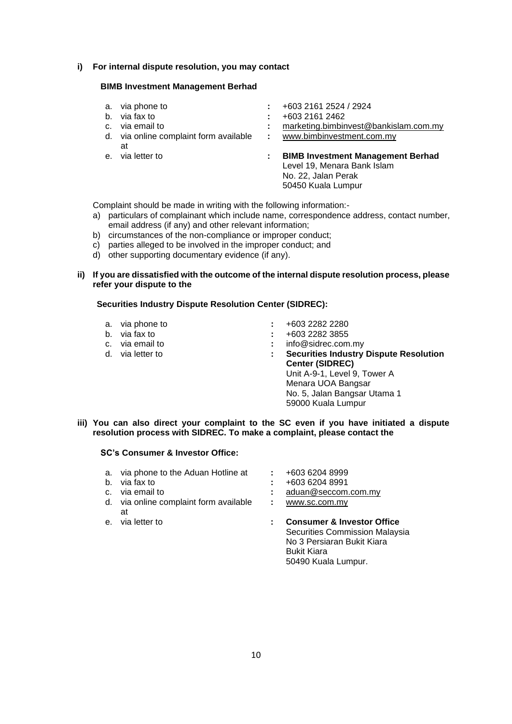#### **i) For internal dispute resolution, you may contact**

#### **BIMB Investment Management Berhad**

- 
- 
- 
- d. via online complaint form available at
- 
- a. via phone to **:** +603 2161 2524 / 2924
	-
- b. via fax to **:** +603 2161 2462 : [marketing.bimbinvest@bankislam.com.my](mailto:marketing.bimbinvest@bankislam.com.my)
	- **:** [www.bimbinvestment.com.my](http://www.bimbinvestment.com.my/)
- e. via letter to **: BIMB Investment Management Berhad** Level 19, Menara Bank Islam No. 22, Jalan Perak 50450 Kuala Lumpur

Complaint should be made in writing with the following information:-

- a) particulars of complainant which include name, correspondence address, contact number, email address (if any) and other relevant information;
- b) circumstances of the non-compliance or improper conduct;
- c) parties alleged to be involved in the improper conduct; and
- d) other supporting documentary evidence (if any).
- **ii) If you are dissatisfied with the outcome of the internal dispute resolution process, please refer your dispute to the**

#### **Securities Industry Dispute Resolution Center (SIDREC):**

- 
- 
- 
- 
- 
- a. via phone to **:** +603 2282 2280 b. via fax to **:** +603 2282 3855<br>
c. via email to **:** info@sidrec.com
- c. via email to **info@sidrec.com.my**<br>d. via letter to **info@sidrec.com.my**<br>**c.** via letter to **info@sidrec.com.my** 
	- **:** Securities Industry Dispute Resolution **Center (SIDREC)**  Unit A-9-1, Level 9, Tower A Menara UOA Bangsar No. 5, Jalan Bangsar Utama 1 59000 Kuala Lumpur
- **iii) You can also direct your complaint to the SC even if you have initiated a dispute resolution process with SIDREC. To make a complaint, please contact the**

#### **SC's Consumer & Investor Office:**

- a. via phone to the Aduan Hotline at **:** +603 6204 8999
- 
- 
- d. via online complaint form available at<br>e. via letter to
- 
- - b. via fax to **:** +603 6204 8991
- c. via email to **:** [aduan@seccom.com.my](mailto:aduan@seccom.com.my)
	- **:** [www.sc.com.my](http://www.sc.com.my/)
	- : Consumer & Investor Office Securities Commission Malaysia No 3 Persiaran Bukit Kiara Bukit Kiara 50490 Kuala Lumpur.